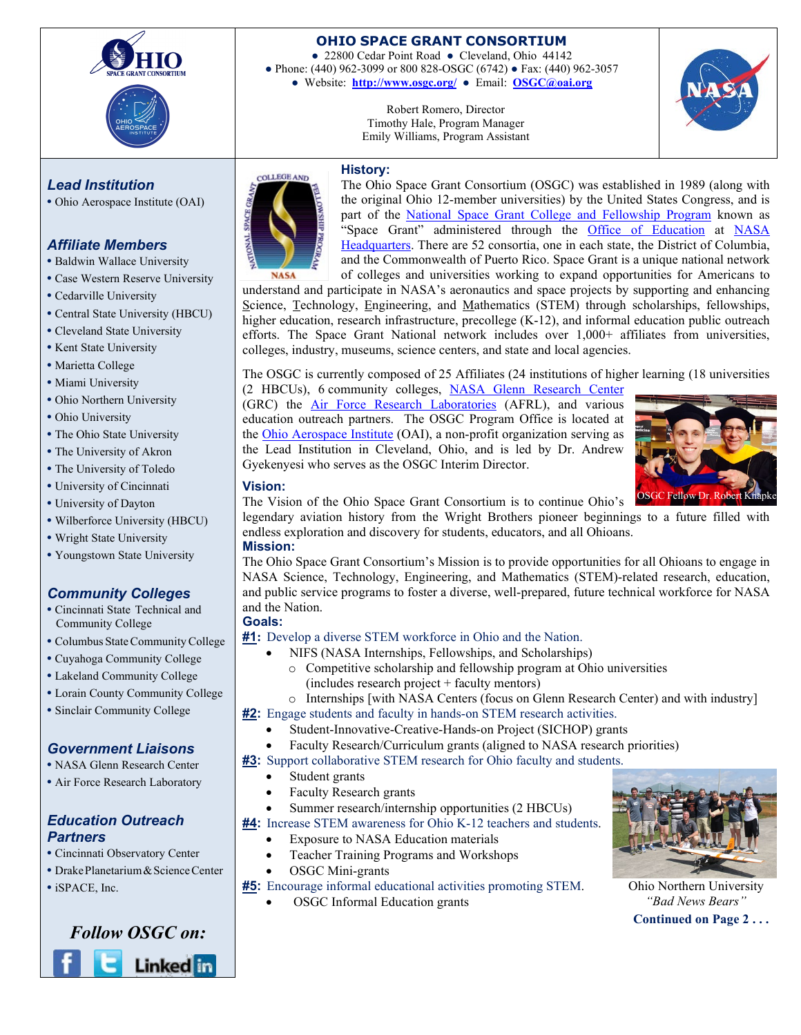



## **OHIO SPACE GRANT CONSORTIUM**

**●** 22800 Cedar Point Road **●** Cleveland, Ohio 44142 **●** Phone: (440) 962-3099 or 800 828-OSGC (6742) **●** Fax: (440) 962-3057 **●** Website: **http://www.osgc.org/ ●** Email: **OSGC@oai.org**

> Robert Romero, Director Timothy Hale, Program Manager Emily Williams, Program Assistant



# *Lead Institution*

**•** Ohio Aerospace Institute (OAI)

# *Affiliate Members*

- **•** Baldwin Wallace University
- **•** Case Western Reserve University
- **•** Cedarville University
- **•** Central State University (HBCU)
- **•** Cleveland State University
- **•** Kent State University
- **•** Marietta College
- **•** Miami University
- **•** Ohio Northern University
- **•** Ohio University
- **•** The Ohio State University
- **•** The University of Akron
- **•** The University of Toledo
- **•** University of Cincinnati
- **•** University of Dayton
- **•** Wilberforce University (HBCU)
- **•** Wright State University
- **•** Youngstown State University

# *Community Colleges*

- **•** Cincinnati State Technical and Community College
- Columbus State Community College
- **•** Cuyahoga Community College
- **•** Lakeland Community College
- **•** Lorain County Community College
- **•** Sinclair Community College

# *Government Liaisons*

- **•** NASA Glenn Research Center
- **•** Air Force Research Laboratory

## *Education Outreach Partners*

- **•** Cincinnati Observatory Center
- **•** DrakePlanetarium&ScienceCenter
- **•** iSPACE, Inc.

# *Follow OSGC on:* **Linked** in



The Ohio Space Grant Consortium (OSGC) was established in 1989 (along with the original Ohio 12-member universities) by the United States Congress, and is part of the [National Space Grant College](http://education.nasa.gov/edprograms/national/spacegrant/home/index.html) [and Fellowship Program](http://education.nasa.gov/edprograms/national/spacegrant/home/index.html) known as "Space Grant" administered through the [Office of Education](http://www.nasa.gov/offices/education/about/index.html) at NASA [Headquarters.](http://www.nasa.gov/) There are 52 consortia, one in each state, the District of Columbia, and the Commonwealth of Puerto Rico. Space Grant is a unique national network of colleges and universities working to expand opportunities for Americans to

understand and participate in NASA's aeronautics and space projects by supporting and enhancing Science, Technology, Engineering, and Mathematics (STEM) through scholarships, fellowships, higher education, research infrastructure, precollege (K-12), and informal education public outreach efforts. The Space Grant National network includes over 1,000+ affiliates from universities, colleges, industry, museums, science centers, and state and local agencies.

The OSGC is currently composed of 25 Affiliates (24 institutions of higher learning (18 universities

(2 HBCUs), 6 community colleges, [NASA Glenn Research Center](http://www.grc.nasa.gov/) (GRC) the [Air Force Research Laboratories](http://www.afrl.af.mil/) (AFRL), and various education outreach partners. The OSGC Program Office is located at the [Ohio Aerospace Institute](http://www.oai.org/) (OAI), a non-profit organization serving as the Lead Institution in Cleveland, Ohio, and is led by Dr. Andrew Gyekenyesi who serves as the OSGC Interim Director.



**Vision:** The Vision of the Ohio Space Grant Consortium is to continue Ohio's

legendary aviation history from the Wright Brothers pioneer beginnings to a future filled with endless exploration and discovery for students, educators, and all Ohioans.

## **Mission:**

The Ohio Space Grant Consortium's Mission is to provide opportunities for all Ohioans to engage in NASA Science, Technology, Engineering, and Mathematics (STEM)-related research, education, and public service programs to foster a diverse, well-prepared, future technical workforce for NASA and the Nation.

# **Goals:**

## **#1:** Develop a diverse STEM workforce in Ohio and the Nation.

- NIFS (NASA Internships, Fellowships, and Scholarships)
	- o Competitive scholarship and fellowship program at Ohio universities (includes research project + faculty mentors)
	- o Internships [with NASA Centers (focus on Glenn Research Center) and with industry]
- **#2:** Engage students and faculty in hands-on STEM research activities.
	- Student-Innovative-Creative-Hands-on Project (SICHOP) grants
	- Faculty Research/Curriculum grants (aligned to NASA research priorities)

**#3:** Support collaborative STEM research for Ohio faculty and students.

- Student grants
- Faculty Research grants
- Summer research/internship opportunities (2 HBCUs)
- **#4:** Increase STEM awareness for Ohio K-12 teachers and students.
	- Exposure to NASA Education materials
	- Teacher Training Programs and Workshops
	- OSGC Mini-grants
- **#5:** Encourage informal educational activities promoting STEM.
	- OSGC Informal Education grants



**Continued on Page 2 . . .** Ohio Northern University *"Bad News Bears"*